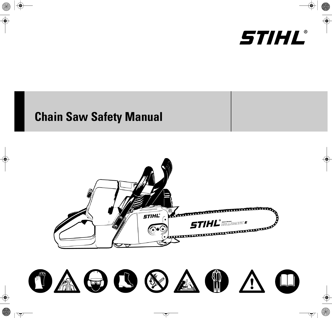

# **Chain Saw Safety Manual**



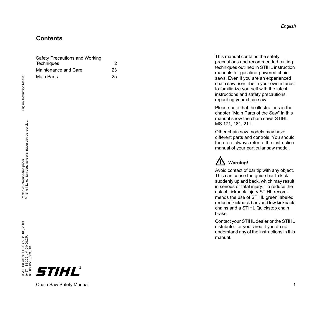### **Contents**

| Safety Precautions and Working |    |
|--------------------------------|----|
| Techniques                     | 2  |
| Maintenance and Care           | 23 |
| Main Parts                     | 25 |

This manual contains the safety precautions and recommended cutting techniques outlined in STIHL instruction manuals for gasoline-powered chain saws. Even if you are an experienced chain saw user, it is in your own interest to familiarize yourself with the latest instructions and safety precautions regarding your chain saw.

Please note that the illustrations in the chapter "Main Parts of the Saw" in this manual show the chain saws STIHL MS 171, 181, 211.

Other chain saw models may have different parts and controls. You should therefore always refer to the instruction manual of your particular saw model.

## **Warning!**

Avoid contact of bar tip with any object. This can cause the guide bar to kick suddenly up and back, which may result in serious or fatal injury. To reduce the risk of kickback injury STIHL recommends the use of STIHL green labeled reduced kickback bars and low kickback chains and a STIHL Quickstop chain brake.

Contact your STIHL dealer or the STIHL distributor for your area if you do not understand any of the instructions in this manual.

Original Instruction Manual

Original Instruction Manual





Chain Saw Safety Manual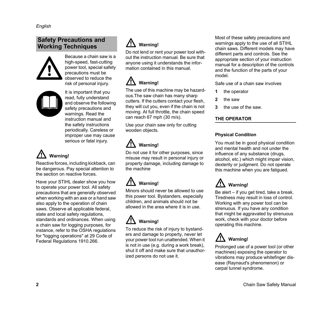### <span id="page-3-0"></span>**Safety Precautions and Working Techniques**



Because a chain saw is a high-speed, fast-cutting power tool, special safety precautions must be observed to reduce the risk of personal injury.



It is important that you read, fully understand and observe the following safety precautions and warnings. Read the instruction manual and the safety instructions periodically. Careless or improper use may cause serious or fatal injury.

## **Warning!**

Reactive forces, including kickback, can be dangerous. Pay special attention to the section on reactive forces.

Have your STIHL dealer show you how to operate your power tool. All safety precautions that are generally observed when working with an axe or a hand saw also apply to the operation of chain saws. Observe all applicable federal, state and local safety regulations, standards and ordinances. When using a chain saw for logging purposes, for instance, refer to the OSHA regulations for "logging operations" at 29 Code of Federal Regulations 1910.266.

## **Warning!**

Do not lend or rent your power tool without the instruction manual. Be sure that anyone using it understands the information contained in this manual.

## **Warning!**

The use of this machine may be hazardous.The saw chain has many sharp cutters. If the cutters contact your flesh, they will cut you, even if the chain is not moving. At full throttle, the chain speed can reach 67 mph (30 m/s).

Use your chain saw only for cutting wooden objects.

# **Warning!**

Do not use it for other purposes, since misuse may result in personal injury or property damage, including damage to the machine

### **Warning!**

Minors should never be allowed to use this power tool. Bystanders, especially children, and animals should not be allowed in the area where it is in use.

# **Warning!**

To reduce the risk of injury to bystanders and damage to property, never let your power tool run unattended. When it is not in use (e.g. during a work break), shut it off and make sure that unauthorized persons do not use it.

Most of these safety precautions and warnings apply to the use of all STIHL chain saws. Different models may have different parts and controls. See the appropriate section of your instruction manual for a description of the controls and the function of the parts of your model.

Safe use of a chain saw involves

- **1** the operator
- **2** the saw
- **3** the use of the saw.

### **THE OPERATOR**

### **Physical Condition**

You must be in good physical condition and mental health and not under the influence of any substance (drugs, alcohol, etc.) which might impair vision, dexterity or judgment. Do not operate this machine when you are fatigued.

### **Warning!**

Be alert – if you get tired, take a break. Tiredness may result in loss of control. Working with any power tool can be strenuous. If you have any condition that might be aggravated by strenuous work, check with your doctor before operating this machine.

## **Warning!**

Prolonged use of a power tool (or other machines) exposing the operator to vibrations may produce whitefinger disease (Raynaud's phenomenon) or carpal tunnel syndrome.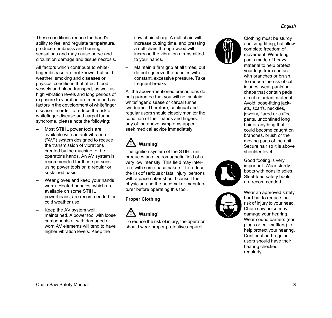These conditions reduce the hand's ability to feel and regulate temperature, produce numbness and burning sensations and may cause nerve and circulation damage and tissue necrosis.

All factors which contribute to whitefinger disease are not known, but cold weather, smoking and diseases or physical conditions that affect blood vessels and blood transport, as well as high vibration levels and long periods of exposure to vibration are mentioned as factors in the development of whitefinger disease. In order to reduce the risk of whitefinger disease and carpal tunnel syndrome, please note the following:

- **–** Most STIHL power tools are available with an anti-vibration ("AV") system designed to reduce the transmission of vibrations created by the machine to the operator's hands. An AV system is recommended for those persons using power tools on a regular or sustained basis.
- **–** Wear gloves and keep your hands warm. Heated handles, which are available on some STIHL powerheads, are recommended for cold weather use.
- **–** Keep the AV system well maintained. A power tool with loose components or with damaged or worn AV elements will tend to have higher vibration levels. Keep the

saw chain sharp. A dull chain will increase cutting time, and pressing a dull chain through wood will increase the vibrations transmitted to your hands.

**–** Maintain a firm grip at all times, but do not squeeze the handles with constant, excessive pressure. Take frequent breaks.

All the above-mentioned precautions do not guarantee that you will not sustain whitefinger disease or carpal tunnel syndrome. Therefore, continual and regular users should closely monitor the condition of their hands and fingers. If any of the above symptoms appear, seek medical advice immediately.

## **Warning!**

The ignition system of the STIHL unit produces an electromagnetic field of a very low intensity. This field may interfere with some pacemakers. To reduce the risk of serious or fatal injury, persons with a pacemaker should consult their physician and the pacemaker manufacturer before operating this tool.

### **Proper Clothing**



To reduce the risk of injury, the operator should wear proper protective apparel.



Clothing must be sturdy and snug-fitting, but allow complete freedom of movement. Wear long pants made of heavy material to help protect your legs from contact with branches or brush. To reduce the risk of cut injuries, wear pants or chaps that contain pads of cut retardant material. Avoid loose-fitting jackets, scarfs, neckties, jewelry, flared or cuffed pants, unconfined long hair or anything that could become caught on branches, brush or the moving parts of the unit. Secure hair so it is above shoulder level.



Good footing is very important. Wear sturdy boots with nonslip soles. Steel-toed safety boots are recommended.

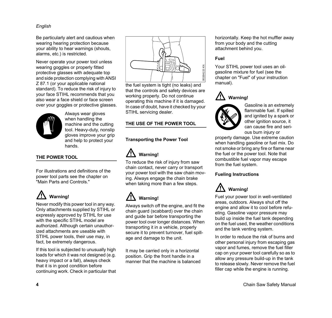Be particularly alert and cautious when wearing hearing protection because your ability to hear warnings (shouts, alarms, etc.) is restricted.

Never operate your power tool unless wearing goggles or properly fitted protective glasses with adequate top and side protection complying with ANSI Z 87.1 (or your applicable national standard). To reduce the risk of injury to your face STIHL recommends that you also wear a face shield or face screen over your goggles or protective glasses.



Always wear gloves when handling the machine and the cutting tool. Heavy-duty, nonslip gloves improve your grip and help to protect your hands.

### **THE POWER TOOL**

For illustrations and definitions of the power tool parts see the chapter on "Main Parts and Controls."

## **Warning!**

Never modify this power tool in any way. Only attachments supplied by STIHL or expressly approved by STIHL for use with the specific STIHL model are authorized. Although certain unauthorized attachments are useable with STIHL power tools, their use may, in fact, be extremely dangerous.

If this tool is subjected to unusually high loads for which it was not designed (e.g. heavy impact or a fall), always check that it is in good condition before continuing work. Check in particular that



the fuel system is tight (no leaks) and that the controls and safety devices are working properly. Do not continue operating this machine if it is damaged. In case of doubt, have it checked by your STIHL servicing dealer.

### **THE USE OF THE POWER TOOL**

### **Transporting the Power Tool**



To reduce the risk of injury from saw chain contact, never carry or transport your power tool with the saw chain moving. Always engage the chain brake when taking more than a few steps.

## **Warning!**

Always switch off the engine, and fit the chain guard (scabbard) over the chain and guide bar before transporting the power tool over longer distances. When transporting it in a vehicle, properly secure it to prevent turnover, fuel spillage the fuel system is tight (no leaks) and<br>that the controls and safety devices are<br>working properly. Do not continue<br>operating this machine if it is damaged.<br>In case of doubt, have it checked by your<br>STIHL servicing deal

It may be carried only in a horizontal position. Grip the front handle in a manner that the machine is balanced horizontally. Keep the hot muffler away from your body and the cutting attachment behind you.

### **Fuel**

Your STIHL power tool uses an oilgasoline mixture for fuel (see the chapter on "Fuel" of your instruction manual).





Gasoline is an extremely flammable fuel. If spilled and ignited by a spark or other ignition source, it can cause fire and serious burn injury or

property damage. Use extreme caution when handling gasoline or fuel mix. Do not smoke or bring any fire or flame near the fuel or the power tool. Note that combustible fuel vapor may escape from the fuel system.

### **Fueling Instructions**

### **Warning!**

Fuel your power tool in well-ventilated areas, outdoors. Always shut off the engine and allow it to cool before refueling. Gasoline vapor pressure may build up inside the fuel tank depending on the fuel used, the weather conditions and the tank venting system.

In order to reduce the risk of burns and other personal injury from escaping gas vapor and fumes, remove the fuel filler cap on your power tool carefully so as to allow any pressure build-up in the tank to release slowly. Never remove the fuel filler cap while the engine is running.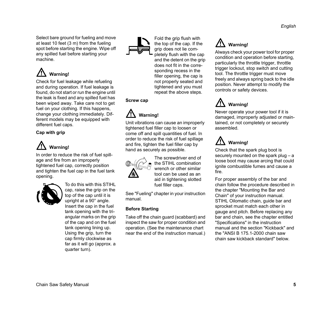Select bare ground for fueling and move at least 10 feet (3 m) from the fueling spot before starting the engine. Wipe off any spilled fuel before starting your machine.

## **Warning!**

Check for fuel leakage while refueling and during operation. If fuel leakage is found, do not start or run the engine until the leak is fixed and any spilled fuel has been wiped away. Take care not to get fuel on your clothing. If this happens, change your clothing immediately. Different models may be equipped with different fuel caps.

### **Cap with grip**



In order to reduce the risk of fuel spillage and fire from an improperly tightened fuel cap, correctly position and tighten the fuel cap in the fuel tank opening.



To do this with this STIHL cap, raise the grip on the top of the cap until it is upright at a 90° angle. Insert the cap in the fuel tank opening with the triangular marks on the grip of the cap and on the fuel tank opening lining up. Using the grip, turn the cap firmly clockwise as far as it will go (approx. a quarter turn).



Fold the grip flush with the top of the cap. If the grip does not lie completely flush with the cap and the detent on the grip does not fit in the corresponding recess in the filler opening, the cap is not properly seated and tightened and you must repeat the above steps.

**Screw cap**

### **Warning!**

Unit vibrations can cause an improperly tightened fuel filler cap to loosen or come off and spill quantities of fuel. In order to reduce the risk of fuel spillage and fire, tighten the fuel filler cap by hand as securely as possible.



The screwdriver end of the STIHL combination wrench or other similar tool can be used as an aid in tightening slotted fuel filler caps.

See "Fueling" chapter in your instruction manual.

### **Before Starting**

Take off the chain guard (scabbard) and inspect the saw for proper condition and operation. (See the maintenance chart near the end of the instruction manual.)

### **Warning!**

Always check your power tool for proper condition and operation before starting, particularly the throttle trigger, throttle trigger lockout, stop switch and cutting tool. The throttle trigger must move freely and always spring back to the idle position. Never attempt to modify the controls or safety devices.

## **Warning!**

Never operate your power tool if it is damaged, improperly adjusted or maintained, or not completely or securely assembled.

### **Warning!**

Check that the spark plug boot is securely mounted on the spark plug – a loose boot may cause arcing that could ignite combustible fumes and cause a fire.

For proper assembly of the bar and chain follow the procedure described in the chapter "Mounting the Bar and Chain" of your instruction manual. STIHL Oilomatic chain, guide bar and sprocket must match each other in gauge and pitch. Before replacing any bar and chain, see the chapter entitled "Specifications" in the instruction manual and the section "Kickback" and the "ANSI B 175.1-2000 chain saw chain saw kickback standard" below.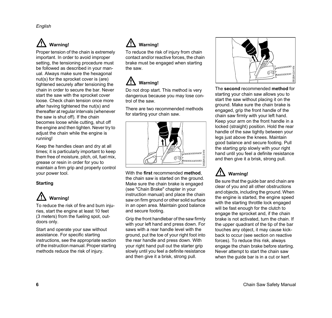Proper tension of the chain is extremely important. In order to avoid improper setting, the tensioning procedure must be followed as described in your manual. Always make sure the hexagonal nut(s) for the sprocket cover is (are) tightened securely after tensioning the chain in order to secure the bar. Never start the saw with the sprocket cover loose. Check chain tension once more after having tightened the nut(s) and thereafter at regular intervals (whenever the saw is shut off). If the chain becomes loose while cutting, shut off the engine and then tighten. Never try to adjust the chain while the engine is running!

Keep the handles clean and dry at all times; it is particularly important to keep them free of moisture, pitch, oil, fuel mix, grease or resin in order for you to maintain a firm grip and properly control your power tool.

### **Starting**



To reduce the risk of fire and burn injuries, start the engine at least 10 feet (3 meters) from the fueling spot, outdoors only.

Start and operate your saw without assistance. For specific starting instructions, see the appropriate section of the instruction manual. Proper starting methods reduce the risk of injury.

### **Warning!**

To reduce the risk of injury from chain contact and/or reactive forces, the chain brake must be engaged when starting the saw.

### **Warning!**

Do not drop start. This method is very dangerous because you may lose control of the saw.

There are two recommended methods for starting your chain saw.



With the **first** recommended **method**, the chain saw is started on the ground. Make sure the chain brake is engaged (see "Chain Brake" chapter in your instruction manual) and place the chain saw on firm ground or other solid surface in an open area. Maintain good balance and secure footing.

Grip the front handlebar of the saw firmly with your left hand and press down. For saws with a rear handle level with the ground, put the toe of your right foot into the rear handle and press down. With your right hand pull out the starter grip slowly until you feel a definite resistance and then give it a brisk, strong pull.



The **second** recommended **method** for starting your chain saw allows you to start the saw without placing it on the ground. Make sure the chain brake is engaged, grip the front handle of the chain saw firmly with your left hand. Keep your arm on the front handle in a locked (straight) position. Hold the rear handle of the saw tightly between your legs just above the knees. Maintain good balance and secure footing. Pull the starting grip slowly with your right hand until you feel a definite resistance and then give it a brisk, strong pull.

### **Warning!**

Be sure that the guide bar and chain are clear of you and all other obstructions and objects, including the ground. When the engine is started, the engine speed with the starting throttle lock engaged will be fast enough for the clutch to engage the sprocket and, if the chain brake is not activated, turn the chain. If the upper quadrant of the tip of the bar touches any object, it may cause kickback to occur (see section on reactive forces). To reduce this risk, always engage the chain brake before starting. Never attempt to start the chain saw when the guide bar is in a cut or kerf.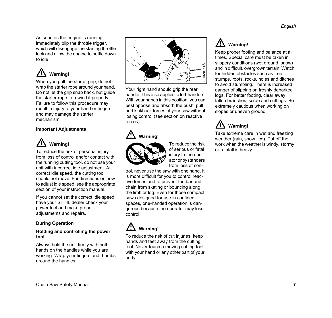As soon as the engine is running, immediately blip the throttle trigger, which will disengage the starting throttle lock and allow the engine to settle down to idle.

## **Warning!**

When you pull the starter grip, do not wrap the starter rope around your hand. Do not let the grip snap back, but guide the starter rope to rewind it properly. Failure to follow this procedure may result in injury to your hand or fingers and may damage the starter mechanism.

### **Important Adjustments**



To reduce the risk of personal injury from loss of control and/or contact with the running cutting tool, do not use your unit with incorrect idle adjustment. At correct idle speed, the cutting tool should not move. For directions on how to adjust idle speed, see the appropriate section of your instruction manual.

If you cannot set the correct idle speed, have your STIHL dealer check your power tool and make proper adjustments and repairs.

### **During Operation**

#### **Holding and controlling the power tool**

Always hold the unit firmly with both hands on the handles while you are working. Wrap your fingers and thumbs around the handles.



Your right hand should grip the rear handle. This also applies to left-handers. With your hands in this position, you can best oppose and absorb the push, pull and kickback forces of your saw without losing control (see section on reactive forces).

### **Warning!**



To reduce the risk of serious or fatal injury to the operator or bystanders from loss of con-

trol, never use the saw with one hand. It is more difficult for you to control reactive forces and to prevent the bar and chain from skating or bouncing along the limb or log. Even for those compact saws designed for use in confined spaces, one-handed operation is dangerous because the operator may lose control.

### **Warning!**

To reduce the risk of cut injuries, keep hands and feet away from the cutting tool. Never touch a moving cutting tool with your hand or any other part of your body.

### **Warning!**

Keep proper footing and balance at all times. Special care must be taken in slippery conditions (wet ground, snow) and in difficult, overgrown terrain. Watch for hidden obstacles such as tree stumps, roots, rocks, holes and ditches to avoid stumbling. There is increased danger of slipping on freshly debarked logs. For better footing, clear away fallen branches, scrub and cuttings. Be extremely cautious when working on slopes or uneven ground.

### **Warning!**

Take extreme care in wet and freezing weather (rain, snow, ice). Put off the work when the weather is windy, stormy or rainfall is heavy.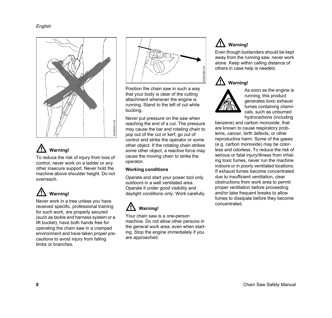

To reduce the risk of injury from loss of control, never work on a ladder or any other insecure support. Never hold the machine above shoulder height. Do not overreach.



Never work in a tree unless you have received specific, professional training for such work, are properly secured (such as tackle and harness system or a lift bucket), have both hands free for operating the chain saw in a cramped environment and have taken proper precautions to avoid injury from falling limbs or branches.



Position the chain saw in such a way that your body is clear of the cutting attachment whenever the engine is running. Stand to the left of cut while bucking.

Never put pressure on the saw when reaching the end of a cut. The pressure may cause the bar and rotating chain to pop out of the cut or kerf, go out of control and strike the operator or some other object. If the rotating chain strikes some other object, a reactive force may cause the moving chain to strike the operator.

### **Working conditions**

Operate and start your power tool only outdoors in a well ventilated area. Operate it under good visibility and daylight conditions only. Work carefully.

### **Warning!**

Your chain saw is a one-person machine. Do not allow other persons in the general work area, even when starting. Stop the engine immediately if you are approached.

### **Warning!**

Even though bystanders should be kept away from the running saw, never work alone. Keep within calling distance of others in case help is needed.





As soon as the engine is running, this product generates toxic exhaust fumes containing chemicals, such as unburned hydrocarbons (including

benzene) and carbon monoxide, that are known to cause respiratory problems, cancer, birth defects, or other reproductive harm. Some of the gases (e.g. carbon monoxide) may be colorless and odorless. To reduce the risk of serious or fatal injury/illness from inhaling toxic fumes, never run the machine indoors or in poorly ventilated locations. If exhaust fumes become concentrated due to insufficient ventilation, clear obstructions from work area to permit proper ventilation before proceeding and/or take frequent breaks to allow fumes to dissipate before they become concentrated.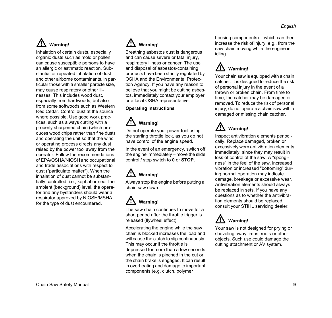Inhalation of certain dusts, especially organic dusts such as mold or pollen, can cause susceptible persons to have an allergic or asthmatic reaction. Substantial or repeated inhalation of dust and other airborne contaminants, in particular those with a smaller particle size, may cause respiratory or other illnesses. This includes wood dust, especially from hardwoods, but also from some softwoods such as Western Red Cedar. Control dust at the source where possible. Use good work practices, such as always cutting with a properly sharpened chain (which produces wood chips rather than fine dust) and operating the unit so that the wind or operating process directs any dust raised by the power tool away from the operator. Follow the recommendations of EPA/OSHA/NIOSH and occupational and trade associations with respect to dust ("particulate matter"). When the inhalation of dust cannot be substantially controlled, i.e., kept at or near the ambient (background) level, the operator and any bystanders should wear a respirator approved by NIOSH/MSHA for the type of dust encountered.

## **Warning!**

Breathing asbestos dust is dangerous and can cause severe or fatal injury, respiratory illness or cancer. The use and disposal of asbestos-containing products have been strictly regulated by OSHA and the Environmental Protection Agency. If you have any reason to believe that you might be cutting asbestos, immediately contact your employer or a local OSHA representative.

### **Operating instructions**

## **Warning!**

Do not operate your power tool using the starting throttle lock, as you do not have control of the engine speed.

In the event of an emergency, switch off the engine immediately – move the slide control / stop switch to **0** or **STOP**.

# **Warning!**

Always stop the engine before putting a chain saw down.

# **Warning!**

The saw chain continues to move for a short period after the throttle trigger is released (flywheel effect).

Accelerating the engine while the saw chain is blocked increases the load and will cause the clutch to slip continuously. This may occur if the throttle is depressed for more than a few seconds when the chain is pinched in the cut or the chain brake is engaged. It can result in overheating and damage to important components (e.g. clutch, polymer

housing components) – which can then increase the risk of injury, e.g., from the saw chain moving while the engine is idling.

### /!\ **Warning!**

Your chain saw is equipped with a chain catcher. It is designed to reduce the risk of personal injury in the event of a thrown or broken chain. From time to time, the catcher may be damaged or removed. To reduce the risk of personal injury, do not operate a chain saw with a damaged or missing chain catcher.

### **Warning!**

Inspect antivibration elements periodically. Replace damaged, broken or excessively worn antivibration elements immediately, since they may result in loss of control of the saw. A "sponginess" in the feel of the saw, increased vibration or increased "bottoming" during normal operation may indicate damage, breakage or excessive wear. Antivibration elements should always be replaced in sets. If you have any questions as to whether the antivibration elements should be replaced, consult your STIHL servicing dealer.



Your saw is not designed for prying or shoveling away limbs, roots or other objects. Such use could damage the cutting attachment or AV system.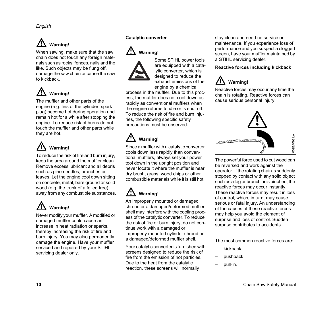When sawing, make sure that the saw chain does not touch any foreign materials such as rocks, fences, nails and the like. Such objects may be flung off, damage the saw chain or cause the saw to kickback.



The muffler and other parts of the engine (e.g. fins of the cylinder, spark plug) become hot during operation and remain hot for a while after stopping the engine. To reduce risk of burns do not touch the muffler and other parts while they are hot.

# **Warning!**

To reduce the risk of fire and burn injury, keep the area around the muffler clean. Remove excess lubricant and all debris such as pine needles, branches or leaves. Let the engine cool down sitting on concrete, metal, bare ground or solid wood (e.g. the trunk of a felled tree) away from any combustible substances.

# **Warning!**

Never modify your muffler. A modified or damaged muffler could cause an increase in heat radiation or sparks, thereby increasing the risk of fire and burn injury. You may also permanently damage the engine. Have your muffler serviced and repaired by your STIHL servicing dealer only.

### **Catalytic converter**





Some STIHL power tools are equipped with a catalytic converter, which is designed to reduce the exhaust emissions of the engine by a chemical

process in the muffler. Due to this process, the muffler does not cool down as rapidly as conventional mufflers when the engine returns to idle or is shut off. To reduce the risk of fire and burn injuries, the following specific safety precautions must be observed.

## **Warning!**

Since a muffler with a catalytic converter cools down less rapidly than conventional mufflers, always set your power tool down in the upright position and never locate it where the muffler is near dry brush, grass, wood chips or other combustible materials while it is still hot.

## **Warning!**

An improperly mounted or damaged shroud or a damaged/deformed muffler shell may interfere with the cooling process of the catalytic converter. To reduce the risk of fire or burn injury, do not continue work with a damaged or improperly mounted cylinder shroud or a damaged/deformed muffler shell.

Your catalytic converter is furnished with screens designed to reduce the risk of fire from the emission of hot particles. Due to the heat from the catalytic reaction, these screens will normally

stay clean and need no service or maintenance. If you experience loss of performance and you suspect a clogged screen, have your muffler maintained by a STIHL servicing dealer.

### **Reactive forces including kickback**



Reactive forces may occur any time the chain is rotating. Reactive forces can cause serious personal injury.



The powerful force used to cut wood can be reversed and work against the operator. If the rotating chain is suddenly stopped by contact with any solid object such as a log or branch or is pinched, the reactive forces may occur instantly. These reactive forces may result in loss of control, which, in turn, may cause serious or fatal injury. An understanding of the causes of these reactive forces may help you avoid the element of surprise and loss of control. Sudden surprise contributes to accidents.

The most common reactive forces are:

- **–** kickback,
- **–** pushback,
- **–** pull-in.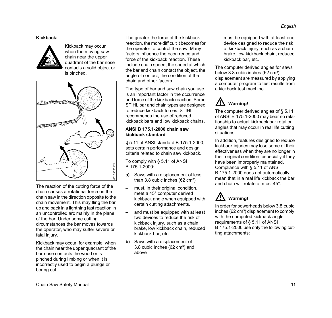### **Kickback:**



Kickback may occur when the moving saw chain near the upper quadrant of the bar nose contacts a solid object or is pinched.



The reaction of the cutting force of the chain causes a rotational force on the chain saw in the direction opposite to the chain movement. This may fling the bar up and back in a lightning fast reaction in an uncontrolled arc mainly in the plane of the bar. Under some cutting circumstances the bar moves towards the operator, who may suffer severe or fatal injury.

Kickback may occur, for example, when the chain near the upper quadrant of the bar nose contacts the wood or is pinched during limbing or when it is incorrectly used to begin a plunge or boring cut.

The greater the force of the kickback reaction, the more difficult it becomes for the operator to control the saw. Many factors influence the occurrence and force of the kickback reaction. These include chain speed, the speed at which the bar and chain contact the object, the angle of contact, the condition of the chain and other factors.

The type of bar and saw chain you use is an important factor in the occurrence and force of the kickback reaction. Some STIHL bar and chain types are designed to reduce kickback forces. STIHL recommends the use of reduced kickback bars and low kickback chains.

#### **ANSI B 175.1-2000 chain saw kickback standard**

§ 5.11 of ANSI standard B 175.1-2000, sets certain performance and design criteria related to chain saw kickback.

To comply with § 5.11 of ANSI B 175.1-2000:

- **a)** Saws with a displacement of less than  $3.8$  cubic inches (62 cm<sup>3</sup>)
- **–** must, in their original condition, meet a 45° computer derived kickback angle when equipped with certain cutting attachments,
- **–** and must be equipped with at least two devices to reduce the risk of kickback injury, such as a chain brake, low kickback chain, reduced kickback bar, etc.
- **b)** Saws with a displacement of 3.8 cubic inches (62 cm<sup>3</sup>) and above

**–** must be equipped with at least one device designed to reduce the risk of kickback injury, such as a chain brake, low kickback chain, reduced kickback bar, etc.

The computer derived angles for saws below  $3.8$  cubic inches  $(62 \text{ cm}^3)$ displacement are measured by applying a computer program to test results from a kickback test machine.

### **Warning!**

The computer derived angles of § 5.11 of ANSI B 175.1-2000 may bear no relationship to actual kickback bar rotation angles that may occur in real life cutting situations.

In addition, features designed to reduce kickback injuries may lose some of their effectiveness when they are no longer in their original condition, especially if they have been improperly maintained. Compliance with § 5.11 of ANSI B 175.1-2000 does not automatically mean that in a real life kickback the bar and chain will rotate at most 45°.

## **Warning!**

In order for powerheads below 3.8 cubic inches (62 cm<sup>3</sup>) displacement to comply with the computed kickback angle requirements of § 5.11 of ANSI B 175.1-2000 use only the following cutting attachments: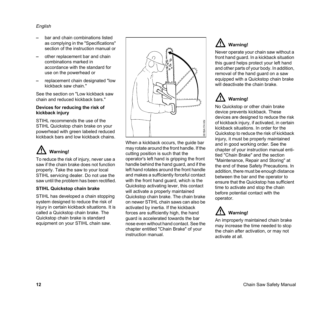- **–** bar and chain combinations listed as complying in the "Specifications" section of the instruction manual or
- **–** other replacement bar and chain combinations marked in accordance with the standard for use on the powerhead or
- **–** replacement chain designated "low kickback saw chain."

See the section on "Low kickback saw chain and reduced kickback bars."

#### **Devices for reducing the risk of kickback injury**

STIHL recommends the use of the STIHL Quickstop chain brake on your powerhead with green labeled reduced kickback bars and low kickback chains.



To reduce the risk of injury, never use a saw if the chain brake does not function properly. Take the saw to your local STIHL servicing dealer. Do not use the saw until the problem has been rectified.

#### **STIHL Quickstop chain brake**

STIHL has developed a chain stopping system designed to reduce the risk of injury in certain kickback situations. It is called a Quickstop chain brake. The Quickstop chain brake is standard equipment on your STIHL chain saw.



When a kickback occurs, the guide bar may rotate around the front handle. If the cutting position is such that the operator's left hand is gripping the front handle behind the hand guard, and if the left hand rotates around the front handle and makes a sufficiently forceful contact with the front hand guard, which is the Quickstop activating lever, this contact will activate a properly maintained Quickstop chain brake. The chain brake on newer STIHL chain saws can also be activated by inertia. If the kickback forces are sufficiently high, the hand guard is accelerated towards the bar nose even without hand contact. See the chapter entitled "Chain Brake" of your instruction manual.

### **Warning!**

Never operate your chain saw without a front hand guard. In a kickback situation this guard helps protect your left hand and other parts of your body. In addition, removal of the hand guard on a saw equipped with a Quickstop chain brake will deactivate the chain brake.

## **Warning!**

No Quickstop or other chain brake device prevents kickback. These devices are designed to reduce the risk of kickback injury, if activated, in certain kickback situations. In order for the Quickstop to reduce the risk of kickback injury, it must be properly maintained and in good working order. See the chapter of your instruction manual entitled "Chain Brake" and the section "Maintenance, Repair and Storing" at the end of these Safety Precautions. In addition, there must be enough distance between the bar and the operator to ensure that the Quickstop has sufficient time to activate and stop the chain before potential contact with the operator.



An improperly maintained chain brake may increase the time needed to stop the chain after activation, or may not activate at all.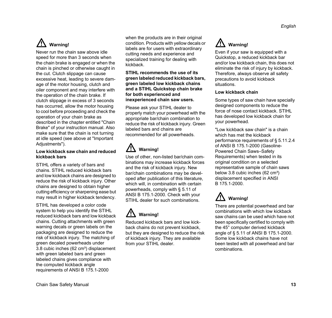Never run the chain saw above idle speed for more than 3 seconds when the chain brake is engaged or when the chain is pinched or otherwise caught in the cut. Clutch slippage can cause excessive heat, leading to severe damage of the motor housing, clutch and oiler component and may interfere with the operation of the chain brake. If clutch slippage in excess of 3 seconds has occurred, allow the motor housing to cool before proceeding and check the operation of your chain brake as described in the chapter entitled "Chain Brake" of your instruction manual. Also make sure that the chain is not turning at idle speed (see above at "Important Adjustments").

### **Low kickback saw chain and reduced kickback bars**

STIHL offers a variety of bars and chains. STIHL reduced kickback bars and low kickback chains are designed to reduce the risk of kickback injury. Other chains are designed to obtain higher cutting efficiency or sharpening ease but may result in higher kickback tendency.

STIHL has developed a color code system to help you identify the STIHL reduced kickback bars and low kickback chains. Cutting attachments with green warning decals or green labels on the packaging are designed to reduce the risk of kickback injury. The matching of green decaled powerheads under 3.8 cubic inches (62 cm<sup>3</sup>) displacement with green labeled bars and green labeled chains gives compliance with the computed kickback angle requirements of ANSI B 175.1-2000

when the products are in their original condition. Products with yellow decals or labels are for users with extraordinary cutting needs and experience and specialized training for dealing with kickback.

**STIHL recommends the use of its green labeled reduced kickback bars, green labeled low kickback chains and a STIHL Quickstop chain brake for both experienced and inexperienced chain saw users.**

Please ask your STIHL dealer to properly match your powerhead with the appropriate bar/chain combination to reduce the risk of kickback injury. Green labeled bars and chains are recommended for all powerheads.

# **Warning!**

Use of other, non-listed bar/chain combinations may increase kickback forces and the risk of kickback injury. New bar/chain combinations may be developed after publication of this literature, which will, in combination with certain powerheads, comply with § 5.11 of ANSI B 175.1-2000. Check with your STIHL dealer for such combinations.

## **Warning!**

Reduced kickback bars and low kickback chains do not prevent kickback, but they are designed to reduce the risk of kickback injury. They are available from your STIHL dealer.

### **Warning!**

Even if your saw is equipped with a Quickstop, a reduced kickback bar and/or low kickback chain, this does not eliminate the risk of injury by kickback. Therefore, always observe all safety precautions to avoid kickback situations.

### **Low kickback chain**

Some types of saw chain have specially designed components to reduce the force of nose contact kickback. STIHL has developed low kickback chain for your powerhead.

"Low kickback saw chain" is a chain which has met the kickback performance requirements of § 5.11.2.4 of ANSI B 175.1-2000 (Gasoline-Powered Chain Saws–Safety Requirements) when tested in its original condition on a selected representative sample of chain saws below 3.8 cubic inches (62 cm<sup>3</sup>) displacement specified in ANSI B 175.1-2000.

## **Warning!**

There are potential powerhead and bar combinations with which low kickback saw chains can be used which have not been specifically certified to comply with the 45° computer derived kickback angle of § 5.11 of ANSI B 175.1-2000. Some low kickback chains have not been tested with all powerhead and bar combinations.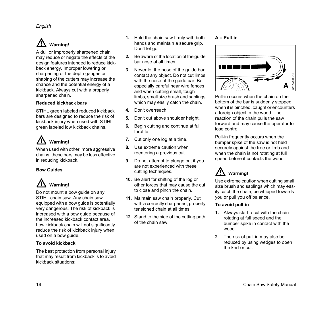A dull or improperly sharpened chain may reduce or negate the effects of the design features intended to reduce kickback energy. Improper lowering or sharpening of the depth gauges or shaping of the cutters may increase the chance and the potential energy of a kickback. Always cut with a properly sharpened chain.

### **Reduced kickback bars**

STIHL green labeled reduced kickback bars are designed to reduce the risk of kickback injury when used with STIHL green labeled low kickback chains.

## **Warning!**

When used with other, more aggressive chains, these bars may be less effective in reducing kickback.

### **Bow Guides**

## **Warning!**

Do not mount a bow guide on any STIHL chain saw. Any chain saw equipped with a bow guide is potentially very dangerous. The risk of kickback is increased with a bow guide because of the increased kickback contact area. Low kickback chain will not significantly reduce the risk of kickback injury when used on a bow guide.

### **To avoid kickback**

The best protection from personal injury that may result from kickback is to avoid kickback situations:

- **1.** Hold the chain saw firmly with both hands and maintain a secure grip. Don't let go.
- **2.** Be aware of the location of the guide bar nose at all times.
- **3.** Never let the nose of the guide bar contact any object. Do not cut limbs with the nose of the guide bar. Be especially careful near wire fences and when cutting small, tough limbs, small size brush and saplings which may easily catch the chain.
- **4.** Don't overreach.
- **5.** Don't cut above shoulder height.
- **6.** Begin cutting and continue at full throttle.
- **7.** Cut only one log at a time.
- **8.** Use extreme caution when reentering a previous cut.
- **9.** Do not attempt to plunge cut if you are not experienced with these cutting techniques.
- **10.** Be alert for shifting of the log or other forces that may cause the cut to close and pinch the chain.
- **11.** Maintain saw chain properly. Cut with a correctly sharpened, properly tensioned chain at all times.
- **12.** Stand to the side of the cutting path of the chain saw.

### **A = Pull-in**



Pull-in occurs when the chain on the bottom of the bar is suddenly stopped when it is pinched, caught or encounters a foreign object in the wood. The reaction of the chain pulls the saw forward and may cause the operator to lose control.

Pull-in frequently occurs when the bumper spike of the saw is not held securely against the tree or limb and when the chain is not rotating at full speed before it contacts the wood.

## **Warning!**

Use extreme caution when cutting small size brush and saplings which may easily catch the chain, be whipped towards you or pull you off balance.

### **To avoid pull-in**

- **1.** Always start a cut with the chain rotating at full speed and the bumper spike in contact with the wood.
- **2.** The risk of pull-in may also be reduced by using wedges to open the kerf or cut.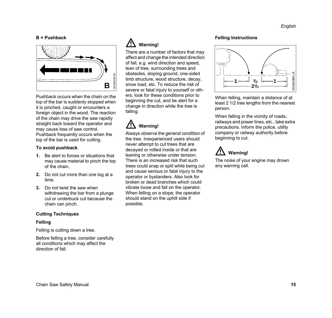#### **B = Pushback**



Pushback occurs when the chain on the top of the bar is suddenly stopped when it is pinched, caught or encounters a foreign object in the wood. The reaction of the chain may drive the saw rapidly straight back toward the operator and may cause loss of saw control. Pushback frequently occurs when the top of the bar is used for cutting.

#### **To avoid pushback**

- **1.** Be alert to forces or situations that may cause material to pinch the top of the chain.
- **2.** Do not cut more than one log at a time.
- **3.** Do not twist the saw when withdrawing the bar from a plunge cut or underbuck cut because the chain can pinch.

#### **Cutting Techniques**

#### **Felling**

Felling is cutting down a tree.

Before felling a tree, consider carefully all conditions which may affect the direction of fall.

### **Warning!**

There are a number of factors that may affect and change the intended direction of fall, e.g. wind direction and speed, lean of tree, surrounding trees and obstacles, sloping ground, one-sided limb structure, wood structure, decay, snow load, etc. To reduce the risk of severe or fatal injury to yourself or others, look for these conditions prior to beginning the cut, and be alert for a change in direction while the tree is falling.

### **Warning!**

Always observe the general condition of the tree. Inexperienced users should never attempt to cut trees that are decayed or rotted inside or that are leaning or otherwise under tension. There is an increased risk that such trees could snap or split while being cut and cause serious or fatal injury to the operator or bystanders. Also look for broken or dead branches which could vibrate loose and fall on the operator. When felling on a slope, the operator should stand on the uphill side if possible.

#### **Felling Instructions**



When felling, maintain a distance of at least 2 1/2 tree lengths from the nearest person.

When felling in the vicinity of roads. railways and power lines, etc., take extra precautions. Inform the police, utility company or railway authority before beginning to cut.

### **Warning!**

The noise of your engine may drown any warning call.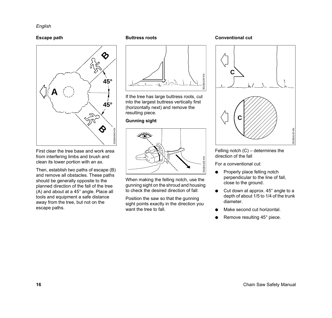#### **Escape path**



First clear the tree base and work area from interfering limbs and brush and clean its lower portion with an ax.

Then, establish two paths of escape (B) and remove all obstacles. These paths should be generally opposite to the planned direction of the fall of the tree (A) and about at a 45° angle. Place all tools and equipment a safe distance away from the tree, but not on the escape paths.

#### **Buttress roots**



If the tree has large buttress roots, cut into the largest buttress vertically first (horizontally next) and remove the resulting piece.

#### **Gunning sight**



When making the felling notch, use the gunning sight on the shroud and housing to check the desired direction of fall:

Position the saw so that the gunning sight points exactly in the direction you want the tree to fall.

#### **Conventional cut**



Felling notch (C) – determines the direction of the fall

For a conventional cut:

- Properly place felling notch perpendicular to the line of fall, close to the ground.
- $\bullet$  Cut down at approx. 45 $^{\circ}$  angle to a depth of about 1/5 to 1/4 of the trunk diameter.
- Make second cut horizontal.
- Remove resulting 45° piece.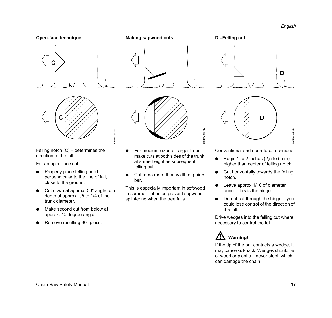### **Open-face technique**



Felling notch (C) – determines the direction of the fall

For an open-face cut:

- $\bullet$  Properly place felling notch perpendicular to the line of fall, close to the ground.
- $\bullet$  Cut down at approx. 50 $^{\circ}$  angle to a depth of approx.1/5 to 1/4 of the trunk diameter.
- Make second cut from below at approx. 40 degree angle.
- Remove resulting 90° piece.

### **Making sapwood cuts**



- For medium sized or larger trees make cuts at both sides of the trunk, at same height as subsequent felling cut.
- $\bullet$  Cut to no more than width of guide bar.

This is especially important in softwood in summer – it helps prevent sapwood splintering when the tree falls.





Conventional and open-face technique:

- Begin 1 to 2 inches  $(2,5 \text{ to } 5 \text{ cm})$ higher than center of felling notch.
- $\bullet$  Cut horizontally towards the felling notch.
- Leave approx.1/10 of diameter uncut. This is the hinge.
- Do not cut through the hinge  $-$  you could lose control of the direction of the fall.

Drive wedges into the felling cut where necessary to control the fall.



If the tip of the bar contacts a wedge, it may cause kickback. Wedges should be of wood or plastic – never steel, which can damage the chain.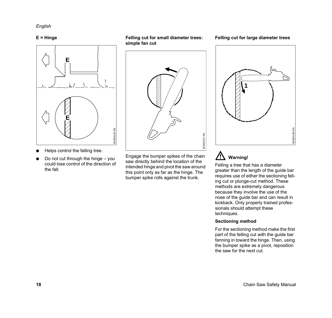### **E = Hinge**



- Helps control the falling tree.
- Do not cut through the hinge  $-$  you could lose control of the direction of the fall.

**Felling cut for small diameter trees: simple fan cut**



Engage the bumper spikes of the chain saw directly behind the location of the intended hinge and pivot the saw around this point only as far as the hinge. The bumper spike rolls against the trunk.

**Felling cut for large diameter trees**



#### /!` **Warning!**

Felling a tree that has a diameter greater than the length of the guide bar requires use of either the sectioning felling cut or plunge-cut method. These methods are extremely dangerous because they involve the use of the nose of the guide bar and can result in kickback. Only properly trained professionals should attempt these techniques.

#### **Sectioning method**

For the sectioning method make the first part of the felling cut with the guide bar fanning in toward the hinge. Then, using the bumper spike as a pivot, reposition the saw for the next cut.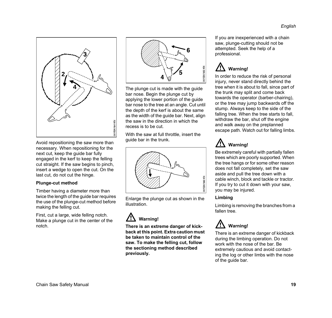

Avoid repositioning the saw more than necessary. When repositioning for the next cut, keep the guide bar fully engaged in the kerf to keep the felling cut straight. If the saw begins to pinch, insert a wedge to open the cut. On the last cut, do not cut the hinge.

#### **Plunge-cut method**

Timber having a diameter more than twice the length of the guide bar requires the use of the plunge-cut method before making the felling cut.

First, cut a large, wide felling notch. Make a plunge cut in the center of the notch.



The plunge cut is made with the guide bar nose. Begin the plunge cut by applying the lower portion of the guide bar nose to the tree at an angle. Cut until the depth of the kerf is about the same as the width of the guide bar. Next, align the saw in the direction in which the recess is to be cut.

With the saw at full throttle, insert the guide bar in the trunk.



Enlarge the plunge cut as shown in the illustration.

### **Warning!**

**There is an extreme danger of kickback at this point. Extra caution must be taken to maintain control of the saw. To make the felling cut, follow the sectioning method described previously.**

If you are inexperienced with a chain saw, plunge-cutting should not be attempted. Seek the help of a professional.

### **Warning!**

In order to reduce the risk of personal injury, never stand directly behind the tree when it is about to fall, since part of the trunk may split and come back towards the operator (barber-chairing), or the tree may jump backwards off the stump. Always keep to the side of the falling tree. When the tree starts to fall, withdraw the bar, shut off the engine and walk away on the preplanned escape path. Watch out for falling limbs.

### **Warning!**

Be extremely careful with partially fallen trees which are poorly supported. When the tree hangs or for some other reason does not fall completely, set the saw aside and pull the tree down with a cable winch, block and tackle or tractor. If you try to cut it down with your saw, you may be injured.

### **Limbing**

Limbing is removing the branches from a fallen tree.



There is an extreme danger of kickback during the limbing operation. Do not work with the nose of the bar. Be extremely cautious and avoid contacting the log or other limbs with the nose of the guide bar.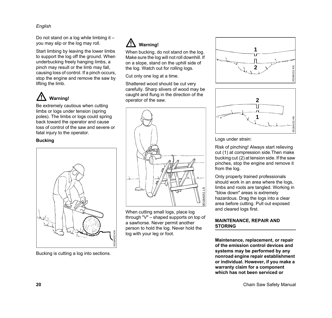Do not stand on a log while limbing it – you may slip or the log may roll.

Start limbing by leaving the lower limbs to support the log off the ground. When underbucking freely hanging limbs, a pinch may result or the limb may fall, causing loss of control. If a pinch occurs, stop the engine and remove the saw by lifting the limb.



Be extremely cautious when cutting limbs or logs under tension (spring poles). The limbs or logs could spring back toward the operator and cause loss of control of the saw and severe or

fatal injury to the operator.

### **Bucking**



Bucking is cutting a log into sections.

### **Warning!**

When bucking, do not stand on the log. Make sure the log will not roll downhill. If on a slope, stand on the uphill side of the log. Watch out for rolling logs.

Cut only one log at a time.

Shattered wood should be cut very carefully. Sharp slivers of wood may be caught and flung in the direction of the operator of the saw.



When cutting small logs, place log through "V" – shaped supports on top of a sawhorse. Never permit another person to hold the log. Never hold the log with your leg or foot.





Logs under strain:

Risk of pinching! Always start relieving cut (1) at compression side.Then make bucking cut (2) at tension side. If the saw pinches, stop the engine and remove it from the log.

Only properly trained professionals should work in an area where the logs, limbs and roots are tangled. Working in "blow down" areas is extremely hazardous. Drag the logs into a clear area before cutting. Pull out exposed and cleared logs first.

### **MAINTENANCE, REPAIR AND STORING**

**Maintenance, replacement, or repair of the emission control devices and systems may be performed by any nonroad engine repair establishment or individual. However, if you make a warranty claim for a component which has not been serviced or**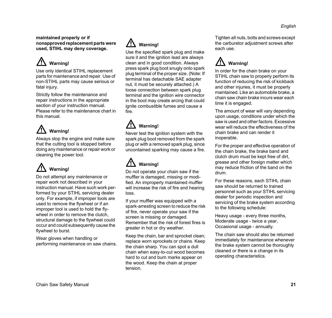#### **maintained properly or if nonapproved replacement parts were used, STIHL may deny coverage.**

# **Warning!**

Use only identical STIHL replacement parts for maintenance and repair. Use of non-STIHL parts may cause serious or fatal injury.

Strictly follow the maintenance and repair instructions in the appropriate section of your instruction manual. Please refer to the maintenance chart in this manual.

# **Warning!**

Always stop the engine and make sure that the cutting tool is stopped before doing any maintenance or repair work or cleaning the power tool.

# **Warning!**

Do not attempt any maintenance or repair work not described in your instruction manual. Have such work performed by your STIHL servicing dealer only. For example, if improper tools are used to remove the flywheel or if an improper tool is used to hold the flywheel in order to remove the clutch, structural damage to the flywheel could occur and could subsequently cause the flywheel to burst.

Wear gloves when handling or performing maintenance on saw chains.

### **Warning!**

Use the specified spark plug and make sure it and the ignition lead are always clean and in good condition. Always press spark plug boot snugly onto spark plug terminal of the proper size. (Note: If terminal has detachable SAE adapter nut, it must be securely attached.) A loose connection between spark plug terminal and the ignition wire connector in the boot may create arcing that could ignite combustible fumes and cause a fire.

## **Warning!**

Never test the ignition system with the spark plug boot removed from the spark plug or with a removed spark plug, since uncontained sparking may cause a fire.

## **Warning!**

Do not operate your chain saw if the muffler is damaged, missing or modified. An improperly maintained muffler will increase the risk of fire and hearing loss.

If your muffler was equipped with a spark-arresting screen to reduce the risk of fire, never operate your saw if the screen is missing or damaged. Remember that the risk of forest fires is greater in hot or dry weather.

Keep the chain, bar and sprocket clean; replace worn sprockets or chains. Keep the chain sharp. You can spot a dull chain when easy-to-cut wood becomes hard to cut and burn marks appear on the wood. Keep the chain at proper tension.

Tighten all nuts, bolts and screws except the carburetor adjustment screws after each use.

## **Warning!**

In order for the chain brake on your STIHL chain saw to properly perform its function of reducing the risk of kickback and other injuries, it must be properly maintained. Like an automobile brake, a chain saw chain brake incurs wear each time it is engaged.

The amount of wear will vary depending upon usage, conditions under which the saw is used and other factors. Excessive wear will reduce the effectiveness of the chain brake and can render it inoperable.

For the proper and effective operation of the chain brake, the brake band and clutch drum must be kept free of dirt, grease and other foreign matter which may reduce friction of the band on the drum.

For these reasons, each STIHL chain saw should be returned to trained personnel such as your STIHL servicing dealer for periodic inspection and servicing of the brake system according to the following schedule:

Heavy usage - every three months, Moderate usage - twice a year, Occasional usage - annually.

The chain saw should also be returned immediately for maintenance whenever the brake system cannot be thoroughly cleaned or there is a change in its operating characteristics.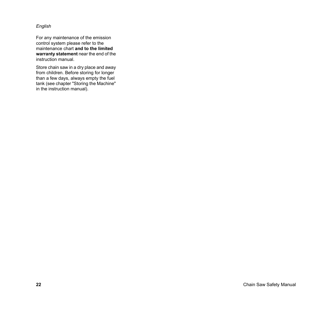For any maintenance of the emission control system please refer to the maintenance chart **and to the limited warranty statement** near the end of the instruction manual.

Store chain saw in a dry place and away from children. Before storing for longer than a few days, always empty the fuel tank (see chapter "Storing the Machine" in the instruction manual).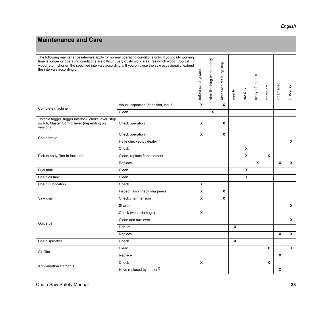### <span id="page-24-0"></span>**Maintenance and Care**

| The following maintenance intervals apply for normal operating conditions only. If your daily working<br>time is longer or operating conditions are difficult (very dusty work area, resin-rich wood, tropical<br>wood, etc.), shorten the specified intervals accordingly. If you only use the saw occasionally, extend<br>the intervals accordingly. |                                       | before starting work | after finishing work or daily | after each refueling stop | weekly | monthly     | every 12 months | problem<br>$\pm$ | if damaged                | if required      |
|--------------------------------------------------------------------------------------------------------------------------------------------------------------------------------------------------------------------------------------------------------------------------------------------------------------------------------------------------------|---------------------------------------|----------------------|-------------------------------|---------------------------|--------|-------------|-----------------|------------------|---------------------------|------------------|
| Complete machine                                                                                                                                                                                                                                                                                                                                       | Visual inspection (condition, leaks)  | $\pmb{\chi}$         |                               | $\mathbf{x}$              |        |             |                 |                  |                           |                  |
|                                                                                                                                                                                                                                                                                                                                                        | Clean                                 |                      | X                             |                           |        |             |                 |                  |                           |                  |
| Throttle trigger, trigger interlock, choke lever, stop<br>switch, Master Control lever (depending on<br>version)                                                                                                                                                                                                                                       | Check operation                       | X                    |                               | x                         |        |             |                 |                  |                           |                  |
| Chain brake                                                                                                                                                                                                                                                                                                                                            | Check operation                       | X                    |                               | X                         |        |             |                 |                  |                           |                  |
|                                                                                                                                                                                                                                                                                                                                                        | Have checked by dealer <sup>1)</sup>  |                      |                               |                           |        |             |                 |                  |                           | $\boldsymbol{x}$ |
| Pickup body/filter in fuel tank                                                                                                                                                                                                                                                                                                                        | Check                                 |                      |                               |                           |        | $\mathbf x$ |                 |                  |                           |                  |
|                                                                                                                                                                                                                                                                                                                                                        | Clean, replace filter element         |                      |                               |                           |        | $\mathbf x$ |                 | $\mathbf{x}$     |                           |                  |
|                                                                                                                                                                                                                                                                                                                                                        | Replace                               |                      |                               |                           |        |             | $\mathbf{x}$    |                  | $\boldsymbol{\mathsf{x}}$ | $\mathbf{x}$     |
| Fuel tank                                                                                                                                                                                                                                                                                                                                              | Clean                                 |                      |                               |                           |        | $\mathbf x$ |                 |                  |                           |                  |
| Chain oil tank                                                                                                                                                                                                                                                                                                                                         | Clean                                 |                      |                               |                           |        | X           |                 |                  |                           |                  |
| Chain Lubrication                                                                                                                                                                                                                                                                                                                                      | Check                                 | X                    |                               |                           |        |             |                 |                  |                           |                  |
| Saw chain                                                                                                                                                                                                                                                                                                                                              | Inspect, also check sharpness         | X                    |                               | X                         |        |             |                 |                  |                           |                  |
|                                                                                                                                                                                                                                                                                                                                                        | Check chain tension                   | X                    |                               | X                         |        |             |                 |                  |                           |                  |
|                                                                                                                                                                                                                                                                                                                                                        | Sharpen                               |                      |                               |                           |        |             |                 |                  |                           | $\boldsymbol{x}$ |
| Guide bar                                                                                                                                                                                                                                                                                                                                              | Check (wear, damage)                  | X                    |                               |                           |        |             |                 |                  |                           |                  |
|                                                                                                                                                                                                                                                                                                                                                        | Clean and turn over                   |                      |                               |                           |        |             |                 |                  |                           | $\mathsf{x}$     |
|                                                                                                                                                                                                                                                                                                                                                        | Deburr                                |                      |                               |                           | X      |             |                 |                  |                           |                  |
|                                                                                                                                                                                                                                                                                                                                                        | Replace                               |                      |                               |                           |        |             |                 |                  | $\mathbf x$               | $\mathsf{x}$     |
| Chain sprocket                                                                                                                                                                                                                                                                                                                                         | Check                                 |                      |                               |                           | X      |             |                 |                  |                           |                  |
| Air filter                                                                                                                                                                                                                                                                                                                                             | Clean                                 |                      |                               |                           |        |             |                 | $\boldsymbol{x}$ |                           | $\pmb{\chi}$     |
|                                                                                                                                                                                                                                                                                                                                                        | Replace                               |                      |                               |                           |        |             |                 |                  | $\mathbf{x}$              |                  |
| Anti-vibration elements                                                                                                                                                                                                                                                                                                                                | Check                                 | X                    |                               |                           |        |             |                 | X                |                           |                  |
|                                                                                                                                                                                                                                                                                                                                                        | Have replaced by dealer <sup>1)</sup> |                      |                               |                           |        |             |                 |                  | $\pmb{\chi}$              |                  |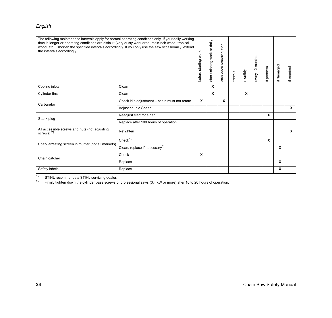| The following maintenance intervals apply for normal operating conditions only. If your daily working<br>time is longer or operating conditions are difficult (very dusty work area, resin-rich wood, tropical<br>wood, etc.), shorten the specified intervals accordingly. If you only use the saw occasionally, extend<br>the intervals accordingly. |                                               | before starting work | after finishing work or daily | stop<br>after each refueling | weekly | monthly | every 12 months | problem<br>$\pm$ | if damaged | required<br>$\pm$ |
|--------------------------------------------------------------------------------------------------------------------------------------------------------------------------------------------------------------------------------------------------------------------------------------------------------------------------------------------------------|-----------------------------------------------|----------------------|-------------------------------|------------------------------|--------|---------|-----------------|------------------|------------|-------------------|
| Cooling inlets                                                                                                                                                                                                                                                                                                                                         | Clean                                         |                      | X                             |                              |        |         |                 |                  |            |                   |
| <b>Cylinder fins</b>                                                                                                                                                                                                                                                                                                                                   | Clean                                         |                      | X                             |                              |        | X       |                 |                  |            |                   |
| Carburetor                                                                                                                                                                                                                                                                                                                                             | Check idle adjustment - chain must not rotate | X                    |                               | X                            |        |         |                 |                  |            |                   |
|                                                                                                                                                                                                                                                                                                                                                        | Adjusting Idle Speed                          |                      |                               |                              |        |         |                 |                  |            | $\mathbf{x}$      |
| Spark plug                                                                                                                                                                                                                                                                                                                                             | Readjust electrode gap                        |                      |                               |                              |        |         |                 | X                |            |                   |
|                                                                                                                                                                                                                                                                                                                                                        | Replace after 100 hours of operation          |                      |                               |                              |        |         |                 |                  |            |                   |
| All accessible screws and nuts (not adjusting<br>screws) $^{2)}$                                                                                                                                                                                                                                                                                       | Retighten                                     |                      |                               |                              |        |         |                 |                  |            | X                 |
| Spark arresting screen in muffler (not all markets)                                                                                                                                                                                                                                                                                                    | Check <sup>1</sup>                            |                      |                               |                              |        |         |                 | $\mathbf x$      |            |                   |
|                                                                                                                                                                                                                                                                                                                                                        | Clean, replace if necessary <sup>1)</sup>     |                      |                               |                              |        |         |                 |                  | X          |                   |
| Chain catcher                                                                                                                                                                                                                                                                                                                                          | Check                                         | X                    |                               |                              |        |         |                 |                  |            |                   |
|                                                                                                                                                                                                                                                                                                                                                        | Replace                                       |                      |                               |                              |        |         |                 |                  | X          |                   |
| Safety labels                                                                                                                                                                                                                                                                                                                                          | Replace                                       |                      |                               |                              |        |         |                 |                  | X          |                   |

<sup>1)</sup> STIHL recommends a STIHL servicing dealer.<br><sup>2)</sup> Firmly tighten down the cylinder base screws of

2) Firmly tighten down the cylinder base screws of professional saws (3.4 kW or more) after 10 to 20 hours of operation.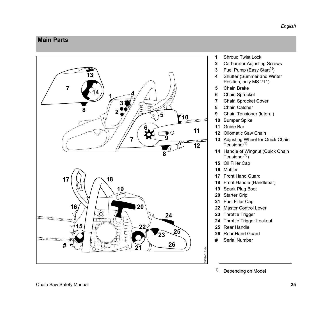### <span id="page-26-0"></span>**Main Parts**



- Shroud Twist Lock
- Carburetor Adjusting Screws
- **3** Fuel Pump (Easy Start<sup>1)</sup>)
- Shutter (Summer and Winter Position, only MS 211)
- Chain Brake
- Chain Sprocket
- Chain Sprocket Cover
- Chain Catcher
- Chain Tensioner (lateral)
- Bumper Spike
- Guide Bar
- Oilomatic Saw Chain
- Adjusting Wheel for Quick Chain  $Tensioner<sup>1</sup>$
- Handle of Wingnut (Quick Chain Tensioner<sup>1</sup>)
- Oil Filler Cap
- Muffler
- Front Hand Guard
- Front Handle (Handlebar)
- Spark Plug Boot
- Starter Grip
- Fuel Filler Cap
- Master Control Lever
- Throttle Trigger
- Throttle Trigger Lockout
- Rear Handle
- Rear Hand Guard
- **#** Serial Number

<sup>1)</sup> Depending on Model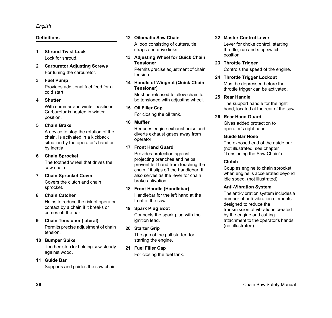### **Definitions**

- **1 Shroud Twist Lock** Lock for shroud.
- **2 Carburetor Adjusting Screws** For tuning the carburetor.

#### **3 Fuel Pump**

Provides additional fuel feed for a cold start.

#### **4 Shutter**

With summer and winter positions. Carburetor is heated in winter position.

#### **5 Chain Brake**

A device to stop the rotation of the chain. Is activated in a kickback situation by the operator's hand or by inertia.

**6 Chain Sprocket**

The toothed wheel that drives the saw chain.

#### **7 Chain Sprocket Cover**

Covers the clutch and chain sprocket.

#### **8 Chain Catcher**

Helps to reduce the risk of operator contact by a chain if it breaks or comes off the bar.

**9 Chain Tensioner (lateral)**

Permits precise adjustment of chain tension.

#### **10 Bumper Spike**

Toothed stop for holding saw steady against wood.

#### **11 Guide Bar**

Supports and guides the saw chain.

#### **12 Oilomatic Saw Chain**

A loop consisting of cutters, tie straps and drive links.

**13 Adjusting Wheel for Quick Chain Tensioner**

Permits precise adjustment of chain tension.

**14 Handle of Wingnut (Quick Chain Tensioner)**

> Must be released to allow chain to be tensioned with adjusting wheel.

**15 Oil Filler Cap** For closing the oil tank.

#### **16 Muffler**

Reduces engine exhaust noise and diverts exhaust gases away from operator.

### **17 Front Hand Guard**

Provides protection against projecting branches and helps prevent left hand from touching the chain if it slips off the handlebar. It also serves as the lever for chain brake activation.

#### **18 Front Handle (Handlebar)**

Handlebar for the left hand at the front of the saw.

#### **19 Spark Plug Boot**

Connects the spark plug with the ignition lead.

**20 Starter Grip**

The grip of the pull starter, for starting the engine.

**21 Fuel Filler Cap**

For closing the fuel tank.

### **22 Master Control Lever**

Lever for choke control, starting throttle, run and stop switch position.

#### **23 Throttle Trigger**

Controls the speed of the engine.

#### **24 Throttle Trigger Lockout**

Must be depressed before the throttle trigger can be activated.

#### **25 Rear Handle**

The support handle for the right hand, located at the rear of the saw.

#### **26 Rear Hand Guard**

Gives added protection to operator's right hand.

#### **Guide Bar Nose**

The exposed end of the guide bar. (not illustrated, see chapter "Tensioning the Saw Chain")

#### **Clutch**

Couples engine to chain sprocket when engine is accelerated beyond idle speed. (not illustrated)

#### **Anti-Vibration System**

The anti-vibration system includes a number of anti-vibration elements designed to reduce the transmission of vibrations created by the engine and cutting attachment to the operator's hands. (not illustrated)